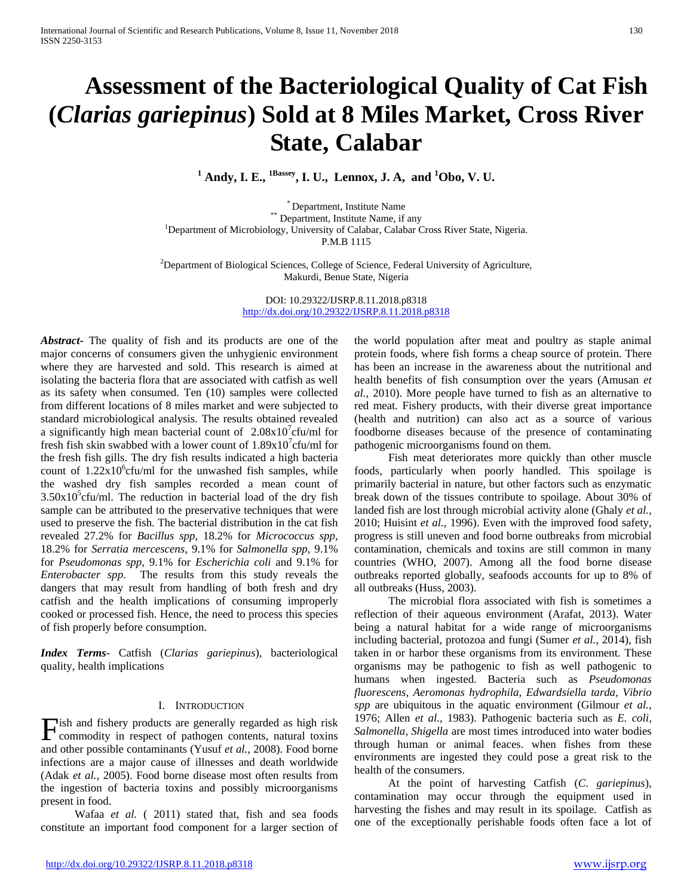# **Assessment of the Bacteriological Quality of Cat Fish (***Clarias gariepinus***) Sold at 8 Miles Market, Cross River State, Calabar**

**<sup>1</sup> Andy, I. E., 1Bassey, I. U., Lennox, J. A, and 1 Obo, V. U.**

\* Department, Institute Name<br>\*\* Department, Institute Name, if any <sup>1</sup>Department of Microbiology, University of Calabar, Calabar Cross River State, Nigeria. P.M.B 1115

<sup>2</sup>Department of Biological Sciences, College of Science, Federal University of Agriculture, Makurdi, Benue State, Nigeria

> DOI: 10.29322/IJSRP.8.11.2018.p8318 <http://dx.doi.org/10.29322/IJSRP.8.11.2018.p8318>

*Abstract***-** The quality of fish and its products are one of the major concerns of consumers given the unhygienic environment where they are harvested and sold. This research is aimed at isolating the bacteria flora that are associated with catfish as well as its safety when consumed. Ten (10) samples were collected from different locations of 8 miles market and were subjected to standard microbiological analysis. The results obtained revealed a significantly high mean bacterial count of  $2.08 \times 10^{7}$  cfu/ml for fresh fish skin swabbed with a lower count of  $1.89x10^7$ cfu/ml for the fresh fish gills. The dry fish results indicated a high bacteria count of  $1.22 \times 10^{6}$  cfu/ml for the unwashed fish samples, while the washed dry fish samples recorded a mean count of  $3.50x10<sup>5</sup>$ cfu/ml. The reduction in bacterial load of the dry fish sample can be attributed to the preservative techniques that were used to preserve the fish. The bacterial distribution in the cat fish revealed 27.2% for *Bacillus spp*, 18.2% for *Micrococcus spp*, 18.2% for *Serratia mercescens*, 9.1% for *Salmonella spp*, 9.1% for *Pseudomonas spp*, 9.1% for *Escherichia coli* and 9.1% for *Enterobacter spp*. The results from this study reveals the dangers that may result from handling of both fresh and dry catfish and the health implications of consuming improperly cooked or processed fish. Hence, the need to process this species of fish properly before consumption.

*Index Terms*- Catfish (*Clarias gariepinus*), bacteriological quality, health implications

## I. INTRODUCTION

**Fish and fishery products are generally regarded as high risk** commodity in respect of pathogen contents, natural toxins commodity in respect of pathogen contents, natural toxins and other possible contaminants (Yusuf *et al.,* 2008). Food borne infections are a major cause of illnesses and death worldwide (Adak *et al.,* 2005). Food borne disease most often results from the ingestion of bacteria toxins and possibly microorganisms present in food.

 Wafaa *et al.* ( 2011) stated that, fish and sea foods constitute an important food component for a larger section of

the world population after meat and poultry as staple animal protein foods, where fish forms a cheap source of protein. There has been an increase in the awareness about the nutritional and health benefits of fish consumption over the years (Amusan *et al.,* 2010). More people have turned to fish as an alternative to red meat. Fishery products, with their diverse great importance (health and nutrition) can also act as a source of various foodborne diseases because of the presence of contaminating pathogenic microorganisms found on them.

 Fish meat deteriorates more quickly than other muscle foods, particularly when poorly handled. This spoilage is primarily bacterial in nature, but other factors such as enzymatic break down of the tissues contribute to spoilage. About 30% of landed fish are lost through microbial activity alone (Ghaly *et al.,*  2010; Huisint *et al.,* 1996). Even with the improved food safety, progress is still uneven and food borne outbreaks from microbial contamination, chemicals and toxins are still common in many countries (WHO, 2007). Among all the food borne disease outbreaks reported globally, seafoods accounts for up to 8% of all outbreaks (Huss, 2003).

 The microbial flora associated with fish is sometimes a reflection of their aqueous environment (Arafat, 2013). Water being a natural habitat for a wide range of microorganisms including bacterial, protozoa and fungi (Sumer *et al.,* 2014), fish taken in or harbor these organisms from its environment. These organisms may be pathogenic to fish as well pathogenic to humans when ingested. Bacteria such as *Pseudomonas fluorescens, Aeromonas hydrophila, Edwardsiella tarda, Vibrio spp* are ubiquitous in the aquatic environment (Gilmour *et al.,*  1976; Allen *et al.,* 1983). Pathogenic bacteria such as *E. coli*, *Salmonella, Shigella* are most times introduced into water bodies through human or animal feaces. when fishes from these environments are ingested they could pose a great risk to the health of the consumers.

 At the point of harvesting Catfish (*C*. *gariepinus*), contamination may occur through the equipment used in harvesting the fishes and may result in its spoilage. Catfish as one of the exceptionally perishable foods often face a lot of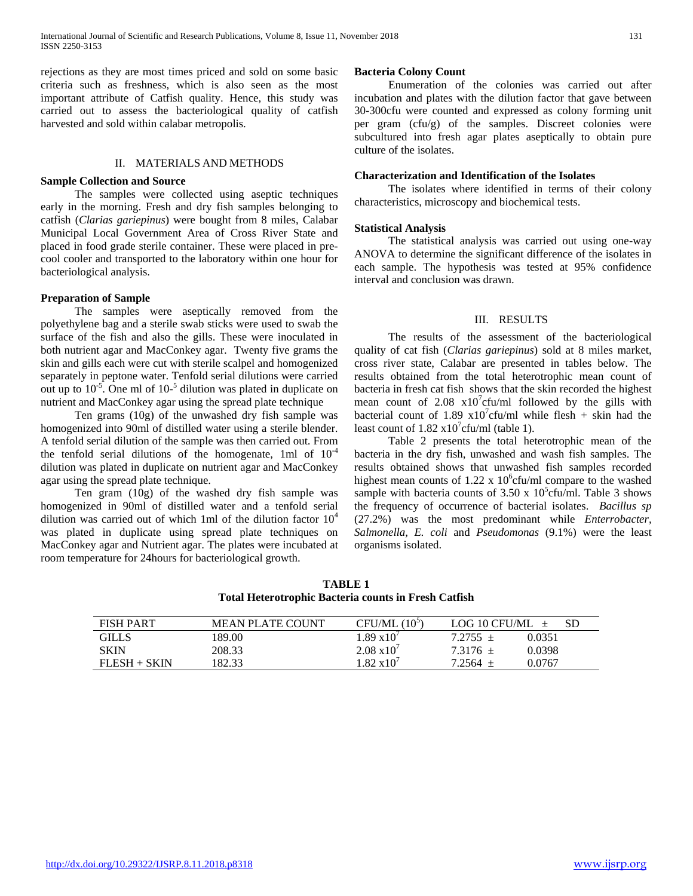rejections as they are most times priced and sold on some basic criteria such as freshness, which is also seen as the most important attribute of Catfish quality. Hence, this study was carried out to assess the bacteriological quality of catfish harvested and sold within calabar metropolis.

#### II. MATERIALS AND METHODS

#### **Sample Collection and Source**

 The samples were collected using aseptic techniques early in the morning. Fresh and dry fish samples belonging to catfish (*Clarias gariepinus*) were bought from 8 miles, Calabar Municipal Local Government Area of Cross River State and placed in food grade sterile container. These were placed in precool cooler and transported to the laboratory within one hour for bacteriological analysis.

#### **Preparation of Sample**

 The samples were aseptically removed from the polyethylene bag and a sterile swab sticks were used to swab the surface of the fish and also the gills. These were inoculated in both nutrient agar and MacConkey agar. Twenty five grams the skin and gills each were cut with sterile scalpel and homogenized separately in peptone water. Tenfold serial dilutions were carried out up to  $10^{-5}$ . One ml of  $10^{-5}$  dilution was plated in duplicate on nutrient and MacConkey agar using the spread plate technique

 Ten grams (10g) of the unwashed dry fish sample was homogenized into 90ml of distilled water using a sterile blender. A tenfold serial dilution of the sample was then carried out. From the tenfold serial dilutions of the homogenate, 1ml of  $10^{-4}$ dilution was plated in duplicate on nutrient agar and MacConkey agar using the spread plate technique.

 Ten gram (10g) of the washed dry fish sample was homogenized in 90ml of distilled water and a tenfold serial dilution was carried out of which 1ml of the dilution factor  $10<sup>4</sup>$ was plated in duplicate using spread plate techniques on MacConkey agar and Nutrient agar. The plates were incubated at room temperature for 24hours for bacteriological growth.

### **Bacteria Colony Count**

 Enumeration of the colonies was carried out after incubation and plates with the dilution factor that gave between 30-300cfu were counted and expressed as colony forming unit per gram (cfu/g) of the samples. Discreet colonies were subcultured into fresh agar plates aseptically to obtain pure culture of the isolates.

#### **Characterization and Identification of the Isolates**

 The isolates where identified in terms of their colony characteristics, microscopy and biochemical tests.

### **Statistical Analysis**

 The statistical analysis was carried out using one-way ANOVA to determine the significant difference of the isolates in each sample. The hypothesis was tested at 95% confidence interval and conclusion was drawn.

#### III. RESULTS

 The results of the assessment of the bacteriological quality of cat fish (*Clarias gariepinus*) sold at 8 miles market, cross river state, Calabar are presented in tables below. The results obtained from the total heterotrophic mean count of bacteria in fresh cat fish shows that the skin recorded the highest mean count of  $2.08 \times 10^{7}$ cfu/ml followed by the gills with bacterial count of 1.89  $x10^7$ cfu/ml while flesh + skin had the least count of  $1.82 \times 10^7$ cfu/ml (table 1).

 Table 2 presents the total heterotrophic mean of the bacteria in the dry fish, unwashed and wash fish samples. The results obtained shows that unwashed fish samples recorded highest mean counts of 1.22 x  $10^6$ cfu/ml compare to the washed sample with bacteria counts of  $3.50 \times 10^5$ cfu/ml. Table 3 shows the frequency of occurrence of bacterial isolates. *Bacillus sp* (27.2%) was the most predominant while *Enterrobacter, Salmonella, E. coli* and *Pseudomonas* (9.1%) were the least organisms isolated.

|                                                      | <b>TABLE 1</b> |  |  |
|------------------------------------------------------|----------------|--|--|
| Total Heterotrophic Bacteria counts in Fresh Catfish |                |  |  |

| <b>FISH PART</b> | <b>MEAN PLATE COUNT</b> | $(10^5$<br>CFU/ML    | LOG 10 CFU/ML            |
|------------------|-------------------------|----------------------|--------------------------|
| GILLS            | 189.00                  | $1.89 \times 10^{7}$ | 0.0351<br>$7.2755 \pm$   |
| SKIN             | 208.33                  | $2.08 \times 10^{7}$ | 0.0398<br>$7.3176 \pm$   |
| $FLESH + SKIN$   | 182.33                  | $1.82 \times 10^{7}$ | 0.0767<br>$7.2564$ $\pm$ |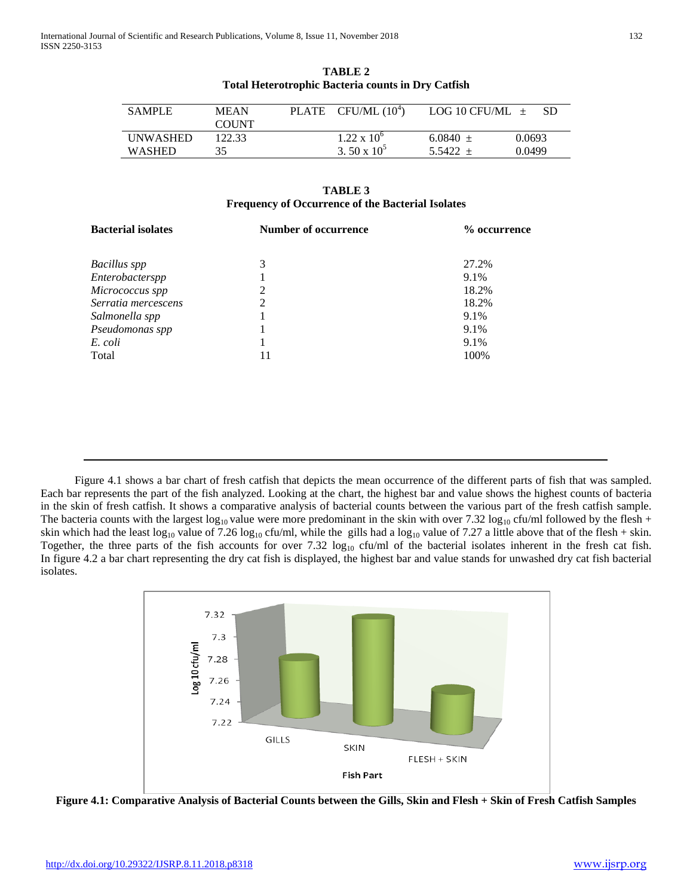| <b>SAMPLE</b>   | MEAN<br><b>COUNT</b> | PLATE | CFU/ML $(10^4)$      | LOG 10 CFU/ML $\pm$ | -SD    |
|-----------------|----------------------|-------|----------------------|---------------------|--------|
| <b>UNWASHED</b> | 122.33               |       | $1.22 \times 10^{6}$ | $6.0840 +$          | 0.0693 |
| <b>WASHED</b>   | 35.                  |       | 3.50 x $10^5$        | $5.5422 +$          | 0.0499 |

**TABLE 2 Total Heterotrophic Bacteria counts in Dry Catfish**

## **TABLE 3 Frequency of Occurrence of the Bacterial Isolates**

| <b>Bacterial isolates</b> | <b>Number of occurrence</b> | % occurrence |
|---------------------------|-----------------------------|--------------|
| Bacillus spp              | 3                           | 27.2%        |
| Enterobacterspp           |                             | 9.1%         |
| Micrococcus spp           | 2                           | 18.2%        |
| Serratia mercescens       | 2                           | 18.2%        |
| Salmonella spp            |                             | 9.1%         |
| Pseudomonas spp           |                             | 9.1%         |
| E. coli                   |                             | 9.1%         |
| Total                     |                             | 100%         |

 Figure 4.1 shows a bar chart of fresh catfish that depicts the mean occurrence of the different parts of fish that was sampled. Each bar represents the part of the fish analyzed. Looking at the chart, the highest bar and value shows the highest counts of bacteria in the skin of fresh catfish. It shows a comparative analysis of bacterial counts between the various part of the fresh catfish sample. The bacteria counts with the largest  $\log_{10}$  value were more predominant in the skin with over 7.32  $\log_{10}$  cfu/ml followed by the flesh + skin which had the least log<sub>10</sub> value of 7.26 log<sub>10</sub> cfu/ml, while the gills had a log<sub>10</sub> value of 7.27 a little above that of the flesh + skin. Together, the three parts of the fish accounts for over 7.32  $\log_{10}$  cfu/ml of the bacterial isolates inherent in the fresh cat fish. In figure 4.2 a bar chart representing the dry cat fish is displayed, the highest bar and value stands for unwashed dry cat fish bacterial isolates.



**Figure 4.1: Comparative Analysis of Bacterial Counts between the Gills, Skin and Flesh + Skin of Fresh Catfish Samples**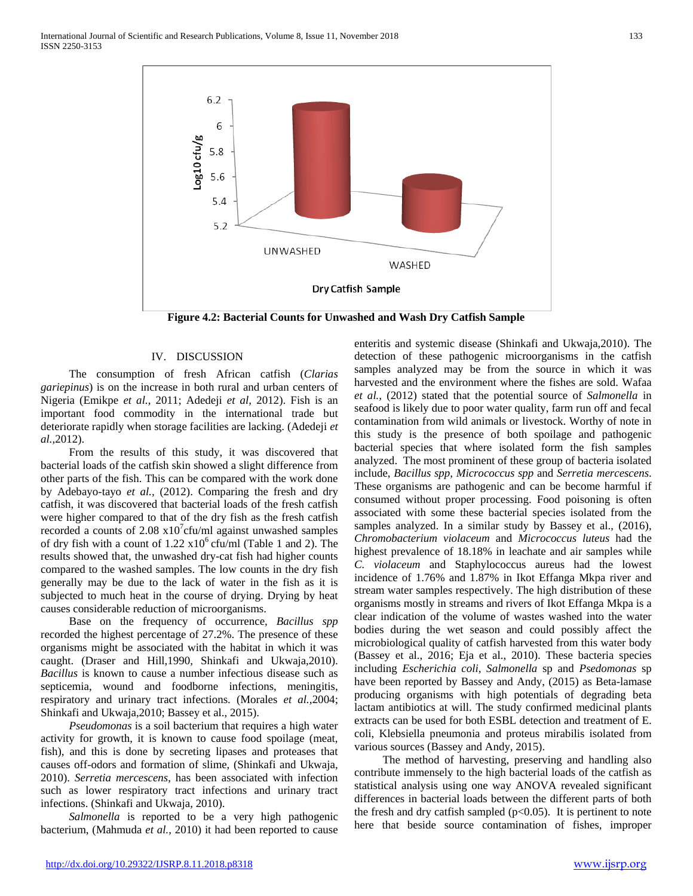

#### IV. DISCUSSION

 The consumption of fresh African catfish (*Clarias gariepinus*) is on the increase in both rural and urban centers of Nigeria (Emikpe *et al.,* 2011; Adedeji *et al,* 2012). Fish is an important food commodity in the international trade but deteriorate rapidly when storage facilities are lacking. (Adedeji *et al.,*2012).

 From the results of this study, it was discovered that bacterial loads of the catfish skin showed a slight difference from other parts of the fish. This can be compared with the work done by Adebayo-tayo *et al.,* (2012). Comparing the fresh and dry catfish, it was discovered that bacterial loads of the fresh catfish were higher compared to that of the dry fish as the fresh catfish recorded a counts of  $2.08 \times 10^{7}$ cfu/ml against unwashed samples of dry fish with a count of  $1.22 \times 10^6$  cfu/ml (Table 1 and 2). The results showed that, the unwashed dry-cat fish had higher counts compared to the washed samples. The low counts in the dry fish generally may be due to the lack of water in the fish as it is subjected to much heat in the course of drying. Drying by heat causes considerable reduction of microorganisms.

 Base on the frequency of occurrence, *Bacillus spp* recorded the highest percentage of 27.2%. The presence of these organisms might be associated with the habitat in which it was caught. (Draser and Hill,1990, Shinkafi and Ukwaja,2010). *Bacillus* is known to cause a number infectious disease such as septicemia, wound and foodborne infections, meningitis, respiratory and urinary tract infections. (Morales *et al.,*2004; Shinkafi and Ukwaja,2010; Bassey et al., 2015).

 *Pseudomonas* is a soil bacterium that requires a high water activity for growth, it is known to cause food spoilage (meat, fish), and this is done by secreting lipases and proteases that causes off-odors and formation of slime, (Shinkafi and Ukwaja, 2010). *Serretia mercescens*, has been associated with infection such as lower respiratory tract infections and urinary tract infections. (Shinkafi and Ukwaja, 2010).

 *Salmonella* is reported to be a very high pathogenic bacterium, (Mahmuda *et al.,* 2010) it had been reported to cause

enteritis and systemic disease (Shinkafi and Ukwaja,2010). The detection of these pathogenic microorganisms in the catfish samples analyzed may be from the source in which it was harvested and the environment where the fishes are sold. Wafaa *et al.,* (2012) stated that the potential source of *Salmonella* in seafood is likely due to poor water quality, farm run off and fecal contamination from wild animals or livestock. Worthy of note in this study is the presence of both spoilage and pathogenic bacterial species that where isolated form the fish samples analyzed. The most prominent of these group of bacteria isolated include, *Bacillus spp, Micrococcus spp* and *Serretia mercescens*. These organisms are pathogenic and can be become harmful if consumed without proper processing. Food poisoning is often associated with some these bacterial species isolated from the samples analyzed. In a similar study by Bassey et al., (2016), *Chromobacterium violaceum* and *Micrococcus luteus* had the highest prevalence of 18.18% in leachate and air samples while *C. violaceum* and Staphylococcus aureus had the lowest incidence of 1.76% and 1.87% in Ikot Effanga Mkpa river and stream water samples respectively. The high distribution of these organisms mostly in streams and rivers of Ikot Effanga Mkpa is a clear indication of the volume of wastes washed into the water bodies during the wet season and could possibly affect the microbiological quality of catfish harvested from this water body (Bassey et al., 2016; Eja et al., 2010). These bacteria species including *Escherichia coli*, *Salmonella* sp and *Psedomonas* sp have been reported by Bassey and Andy, (2015) as Beta-lamase producing organisms with high potentials of degrading beta lactam antibiotics at will. The study confirmed medicinal plants extracts can be used for both ESBL detection and treatment of E. coli, Klebsiella pneumonia and proteus mirabilis isolated from various sources (Bassey and Andy, 2015).

 The method of harvesting, preserving and handling also contribute immensely to the high bacterial loads of the catfish as statistical analysis using one way ANOVA revealed significant differences in bacterial loads between the different parts of both the fresh and dry catfish sampled ( $p<0.05$ ). It is pertinent to note here that beside source contamination of fishes, improper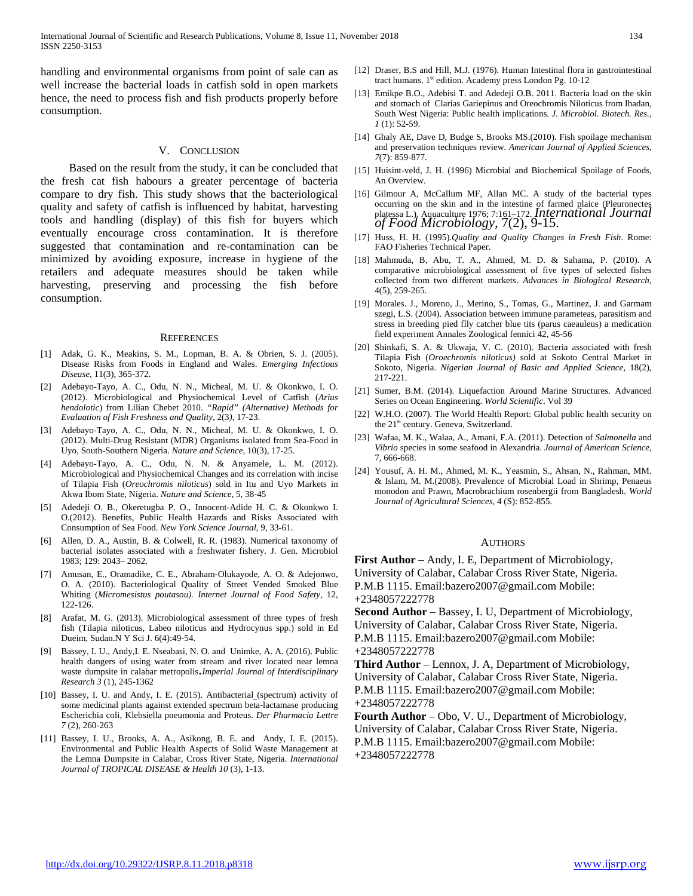handling and environmental organisms from point of sale can as well increase the bacterial loads in catfish sold in open markets hence, the need to process fish and fish products properly before consumption.

#### V. CONCLUSION

 Based on the result from the study, it can be concluded that the fresh cat fish habours a greater percentage of bacteria compare to dry fish. This study shows that the bacteriological quality and safety of catfish is influenced by habitat, harvesting tools and handling (display) of this fish for buyers which eventually encourage cross contamination. It is therefore suggested that contamination and re-contamination can be minimized by avoiding exposure, increase in hygiene of the retailers and adequate measures should be taken while harvesting, preserving and processing the fish before consumption.

#### **REFERENCES**

- [1] Adak, G. K., Meakins, S. M., Lopman, B. A. & Obrien, S. J. (2005). Disease Risks from Foods in England and Wales. *Emerging Infectious Disease,* 11(3), 365-372.
- [2] Adebayo-Tayo, A. C., Odu, N. N., Micheal, M. U. & Okonkwo, I. O. (2012). Microbiological and Physiochemical Level of Catfish (*Arius hendolotic*) from Lilian Chebet 2010. *"Rapid" (Alternative) Methods for Evaluation of Fish Freshness and Quality,* 2(3*),* 17-23.
- [3] Adebayo-Tayo, A. C., Odu, N. N., Micheal, M. U. & Okonkwo, I. O. (2012). Multi-Drug Resistant (MDR) Organisms isolated from Sea-Food in Uyo, South-Southern Nigeria. *Nature and Science,* 10(3), 17-25.
- [4] Adebayo-Tayo, A. C., Odu, N. N. & Anyamele, L. M. (2012). Microbiological and Physiochemical Changes and its correlation with incise of Tilapia Fish (*Oreochromis niloticus*) sold in Itu and Uyo Markets in Akwa Ibom State, Nigeria. *Nature and Science*, 5, 38-45
- [5] Adedeji O. B., Okeretugba P. O., Innocent-Adide H. C. & Okonkwo I. O.(2012). Benefits, Public Health Hazards and Risks Associated with Consumption of Sea Food. *New York Science Journal,* 9, 33-61.
- [6] Allen, D. A., Austin, B. & Colwell, R. R. (1983). Numerical taxonomy of bacterial isolates associated with a freshwater fishery. J. Gen. Microbiol 1983; 129: 2043– 2062.
- [7] Amusan, E., Oramadike, C. E., Abraham-Olukayode, A. O. & Adejonwo, O. A. (2010). Bacteriological Quality of Street Vended Smoked Blue Whiting (*Micromesistus poutasou). Internet Journal of Food Safety*, 12, 122-126.
- [8] Arafat, M. G. (2013). Microbiological assessment of three types of fresh fish (Tilapia niloticus, Labeo niloticus and Hydrocynus spp.) sold in Ed Dueim, Sudan.N Y Sci J. 6(4):49-54.
- Bassey, I. U., Andy, I. E. Nseabasi, N. O. and Unimke, A. A. (2016). Public [health dangers of using water from stream and river located near lemna](javascript:void(0))  [waste dumpsite in calabar metropolis.](javascript:void(0))*Imperial Journal of Interdisciplinary Research 3* (1), 245-1362
- [10] Bassey, I. U. and Andy, I. E. (2015). Antibacterial (spectrum) activity of some medicinal plants against extended spectrum beta-lactamase producing Escherichia coli, Klebsiella pneumonia and Proteus. *Der Pharmacia Lettre 7* (2), 260-263
- [11] Bassey, I. U., Brooks, A. A., Asikong, B. E. and Andy, I. E. (2015). [Environmental and Public Health Aspects of Solid Waste Management at](https://scholar.google.com/scholar?oi=bibs&cluster=8809138853326143990&btnI=1&hl=en)  [the Lemna Dumpsite in Calabar, Cross River State, Nigeria.](https://scholar.google.com/scholar?oi=bibs&cluster=8809138853326143990&btnI=1&hl=en) *International Journal of TROPICAL DISEASE & Health 10* (3), 1-13.
- [12] Draser, B.S and Hill, M.J. (1976). Human Intestinal flora in gastrointestinal tract humans.  $1<sup>st</sup>$  edition. Academy press London Pg. 10-12
- [13] Emikpe B.O., Adebisi T. and Adedeji O.B. 2011. Bacteria load on the skin and stomach of Clarias Gariepinus and Oreochromis Niloticus from Ibadan, South West Nigeria: Public health implications*. J. Microbiol. Biotech. Res., 1* (1): 52-59.
- [14] Ghaly AE, Dave D, Budge S, Brooks MS.(2010). Fish spoilage mechanism and preservation techniques review. *American Journal of Applied Sciences, 7*(7): 859-877.
- [15] Huisint-veld, J. H. (1996) Microbial and Biochemical Spoilage of Foods, An Overview.
- [16] Gilmour A, McCallum MF, Allan MC. A study of the bacterial types occurring on the skin and in the intestine of farmed plaice (Pleuronectes platessa L.). Aquaculture 1976; 7:161–172. *International Journal of Food Microbiology,* 7(2), 9-15.
- [17] Huss, H. H. (1995).*Quality and Quality Changes in Fresh Fish*. Rome: FAO Fisheries Technical Paper.
- [18] Mahmuda, B, Abu, T. A., Ahmed, M. D. & Sahama, P. (2010). A comparative microbiological assessment of five types of selected fishes collected from two different markets. *Advances in Biological Research,* 4(5), 259-265.
- [19] Morales. J., Moreno, J., Merino, S., Tomas, G., Martinez, J. and Garmam szegi, L.S. (2004). Association between immune parameteas, parasitism and stress in breeding pied flly catcher blue tits (parus caeauleus) a medication field experiment Annales Zoological fennici 42, 45-56
- [20] Shinkafi, S. A. & Ukwaja, V. C. (2010). Bacteria associated with fresh Tilapia Fish (*Oroechromis niloticus)* sold at Sokoto Central Market in Sokoto, Nigeria. *Nigerian Journal of Basic and Applied Science,* 18(2), 217-221.
- [21] Sumer, B.M. (2014). Liquefaction Around Marine Structures. Advanced Series on Ocean Engineering. *World Scientific*. Vol 39
- [22] W.H.O. (2007). The World Health Report: Global public health security on the  $21<sup>st</sup>$  century. Geneva, Switzerland.
- [23] Wafaa, M. K., Walaa, A., Amani, F.A. (2011). Detection of *Salmonella* and *Vibrio* species in some seafood in Alexandria. *Journal of American Science*, 7, 666-668.
- [24] Yousuf, A. H. M., Ahmed, M. K., Yeasmin, S., Ahsan, N., Rahman, MM. & Islam, M. M.(2008). Prevalence of Microbial Load in Shrimp, Penaeus monodon and Prawn, Macrobrachium rosenbergii from Bangladesh. *World Journal of Agricultural Sciences*, 4 (S): 852-855.

#### AUTHORS

**First Author** – Andy, I. E, Department of Microbiology, University of Calabar, Calabar Cross River State, Nigeria. P.M.B 1115. Email:bazero2007@gmail.com Mobile: +2348057222778

**Second Author** – Bassey, I. U, Department of Microbiology, University of Calabar, Calabar Cross River State, Nigeria. P.M.B 1115. Email:bazero2007@gmail.com Mobile: +2348057222778

**Third Author** – Lennox, J. A, Department of Microbiology, University of Calabar, Calabar Cross River State, Nigeria. P.M.B 1115. Email:bazero2007@gmail.com Mobile: +2348057222778

**Fourth Author** – Obo, V. U., Department of Microbiology, University of Calabar, Calabar Cross River State, Nigeria. P.M.B 1115. Email:bazero2007@gmail.com Mobile: +2348057222778